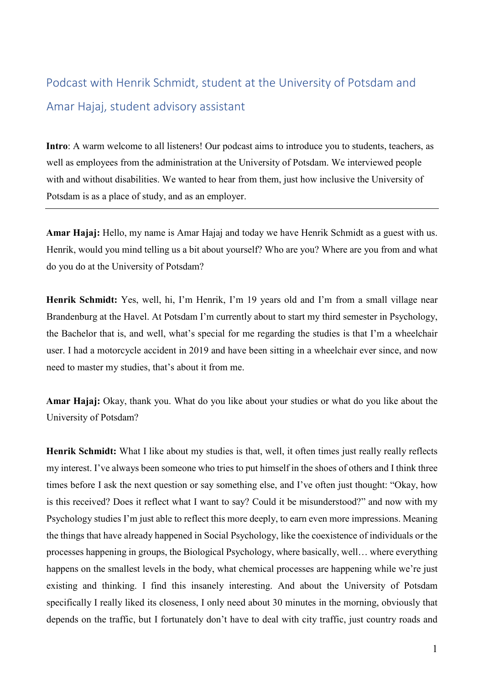## Podcast with Henrik Schmidt, student at the University of Potsdam and Amar Hajaj, student advisory assistant

**Intro**: A warm welcome to all listeners! Our podcast aims to introduce you to students, teachers, as well as employees from the administration at the University of Potsdam. We interviewed people with and without disabilities. We wanted to hear from them, just how inclusive the University of Potsdam is as a place of study, and as an employer.

**Amar Hajaj:** Hello, my name is Amar Hajaj and today we have Henrik Schmidt as a guest with us. Henrik, would you mind telling us a bit about yourself? Who are you? Where are you from and what do you do at the University of Potsdam?

**Henrik Schmidt:** Yes, well, hi, I'm Henrik, I'm 19 years old and I'm from a small village near Brandenburg at the Havel. At Potsdam I'm currently about to start my third semester in Psychology, the Bachelor that is, and well, what's special for me regarding the studies is that I'm a wheelchair user. I had a motorcycle accident in 2019 and have been sitting in a wheelchair ever since, and now need to master my studies, that's about it from me.

**Amar Hajaj:** Okay, thank you. What do you like about your studies or what do you like about the University of Potsdam?

Henrik Schmidt: What I like about my studies is that, well, it often times just really really reflects my interest. I've always been someone who tries to put himself in the shoes of others and I think three times before I ask the next question or say something else, and I've often just thought: "Okay, how is this received? Does it reflect what I want to say? Could it be misunderstood?" and now with my Psychology studies I'm just able to reflect this more deeply, to earn even more impressions. Meaning the things that have already happened in Social Psychology, like the coexistence of individuals or the processes happening in groups, the Biological Psychology, where basically, well… where everything happens on the smallest levels in the body, what chemical processes are happening while we're just existing and thinking. I find this insanely interesting. And about the University of Potsdam specifically I really liked its closeness, I only need about 30 minutes in the morning, obviously that depends on the traffic, but I fortunately don't have to deal with city traffic, just country roads and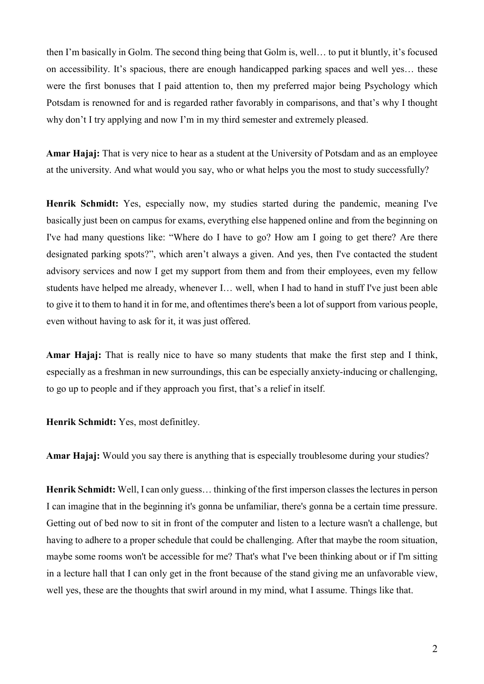then I'm basically in Golm. The second thing being that Golm is, well… to put it bluntly, it's focused on accessibility. It's spacious, there are enough handicapped parking spaces and well yes… these were the first bonuses that I paid attention to, then my preferred major being Psychology which Potsdam is renowned for and is regarded rather favorably in comparisons, and that's why I thought why don't I try applying and now I'm in my third semester and extremely pleased.

**Amar Hajaj:** That is very nice to hear as a student at the University of Potsdam and as an employee at the university. And what would you say, who or what helps you the most to study successfully?

**Henrik Schmidt:** Yes, especially now, my studies started during the pandemic, meaning I've basically just been on campus for exams, everything else happened online and from the beginning on I've had many questions like: "Where do I have to go? How am I going to get there? Are there designated parking spots?", which aren't always a given. And yes, then I've contacted the student advisory services and now I get my support from them and from their employees, even my fellow students have helped me already, whenever I… well, when I had to hand in stuff I've just been able to give it to them to hand it in for me, and oftentimes there's been a lot of support from various people, even without having to ask for it, it was just offered.

**Amar Hajaj:** That is really nice to have so many students that make the first step and I think, especially as a freshman in new surroundings, this can be especially anxiety-inducing or challenging, to go up to people and if they approach you first, that's a relief in itself.

**Henrik Schmidt:** Yes, most definitley.

**Amar Hajaj:** Would you say there is anything that is especially troublesome during your studies?

**Henrik Schmidt:** Well, I can only guess… thinking of the first imperson classes the lectures in person I can imagine that in the beginning it's gonna be unfamiliar, there's gonna be a certain time pressure. Getting out of bed now to sit in front of the computer and listen to a lecture wasn't a challenge, but having to adhere to a proper schedule that could be challenging. After that maybe the room situation, maybe some rooms won't be accessible for me? That's what I've been thinking about or if I'm sitting in a lecture hall that I can only get in the front because of the stand giving me an unfavorable view, well yes, these are the thoughts that swirl around in my mind, what I assume. Things like that.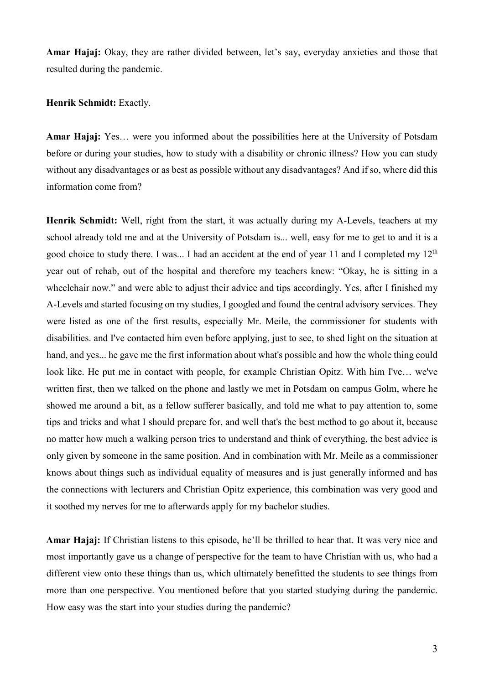**Amar Hajaj:** Okay, they are rather divided between, let's say, everyday anxieties and those that resulted during the pandemic.

## **Henrik Schmidt:** Exactly.

**Amar Hajaj:** Yes… were you informed about the possibilities here at the University of Potsdam before or during your studies, how to study with a disability or chronic illness? How you can study without any disadvantages or as best as possible without any disadvantages? And if so, where did this information come from?

**Henrik Schmidt:** Well, right from the start, it was actually during my A-Levels, teachers at my school already told me and at the University of Potsdam is... well, easy for me to get to and it is a good choice to study there. I was... I had an accident at the end of year 11 and I completed my 12<sup>th</sup> year out of rehab, out of the hospital and therefore my teachers knew: "Okay, he is sitting in a wheelchair now." and were able to adjust their advice and tips accordingly. Yes, after I finished my A-Levels and started focusing on my studies, I googled and found the central advisory services. They were listed as one of the first results, especially Mr. Meile, the commissioner for students with disabilities. and I've contacted him even before applying, just to see, to shed light on the situation at hand, and yes... he gave me the first information about what's possible and how the whole thing could look like. He put me in contact with people, for example Christian Opitz. With him I've… we've written first, then we talked on the phone and lastly we met in Potsdam on campus Golm, where he showed me around a bit, as a fellow sufferer basically, and told me what to pay attention to, some tips and tricks and what I should prepare for, and well that's the best method to go about it, because no matter how much a walking person tries to understand and think of everything, the best advice is only given by someone in the same position. And in combination with Mr. Meile as a commissioner knows about things such as individual equality of measures and is just generally informed and has the connections with lecturers and Christian Opitz experience, this combination was very good and it soothed my nerves for me to afterwards apply for my bachelor studies.

**Amar Hajaj:** If Christian listens to this episode, he'll be thrilled to hear that. It was very nice and most importantly gave us a change of perspective for the team to have Christian with us, who had a different view onto these things than us, which ultimately benefitted the students to see things from more than one perspective. You mentioned before that you started studying during the pandemic. How easy was the start into your studies during the pandemic?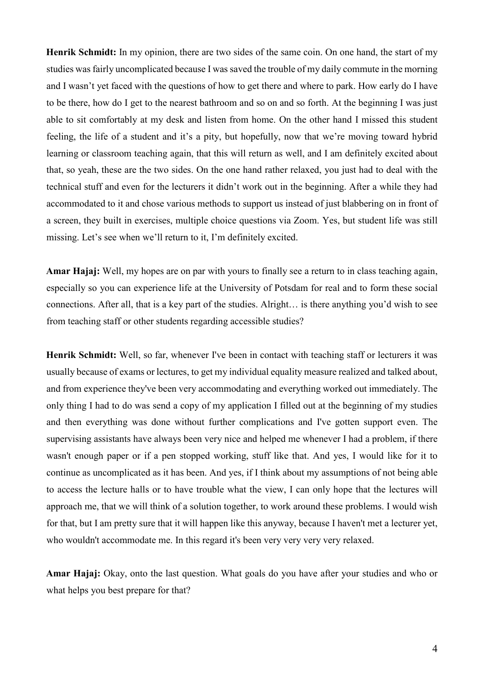**Henrik Schmidt:** In my opinion, there are two sides of the same coin. On one hand, the start of my studies was fairly uncomplicated because I was saved the trouble of my daily commute in the morning and I wasn't yet faced with the questions of how to get there and where to park. How early do I have to be there, how do I get to the nearest bathroom and so on and so forth. At the beginning I was just able to sit comfortably at my desk and listen from home. On the other hand I missed this student feeling, the life of a student and it's a pity, but hopefully, now that we're moving toward hybrid learning or classroom teaching again, that this will return as well, and I am definitely excited about that, so yeah, these are the two sides. On the one hand rather relaxed, you just had to deal with the technical stuff and even for the lecturers it didn't work out in the beginning. After a while they had accommodated to it and chose various methods to support us instead of just blabbering on in front of a screen, they built in exercises, multiple choice questions via Zoom. Yes, but student life was still missing. Let's see when we'll return to it, I'm definitely excited.

**Amar Hajaj:** Well, my hopes are on par with yours to finally see a return to in class teaching again, especially so you can experience life at the University of Potsdam for real and to form these social connections. After all, that is a key part of the studies. Alright… is there anything you'd wish to see from teaching staff or other students regarding accessible studies?

**Henrik Schmidt:** Well, so far, whenever I've been in contact with teaching staff or lecturers it was usually because of exams or lectures, to get my individual equality measure realized and talked about, and from experience they've been very accommodating and everything worked out immediately. The only thing I had to do was send a copy of my application I filled out at the beginning of my studies and then everything was done without further complications and I've gotten support even. The supervising assistants have always been very nice and helped me whenever I had a problem, if there wasn't enough paper or if a pen stopped working, stuff like that. And yes, I would like for it to continue as uncomplicated as it has been. And yes, if I think about my assumptions of not being able to access the lecture halls or to have trouble what the view, I can only hope that the lectures will approach me, that we will think of a solution together, to work around these problems. I would wish for that, but I am pretty sure that it will happen like this anyway, because I haven't met a lecturer yet, who wouldn't accommodate me. In this regard it's been very very very very relaxed.

**Amar Hajaj:** Okay, onto the last question. What goals do you have after your studies and who or what helps you best prepare for that?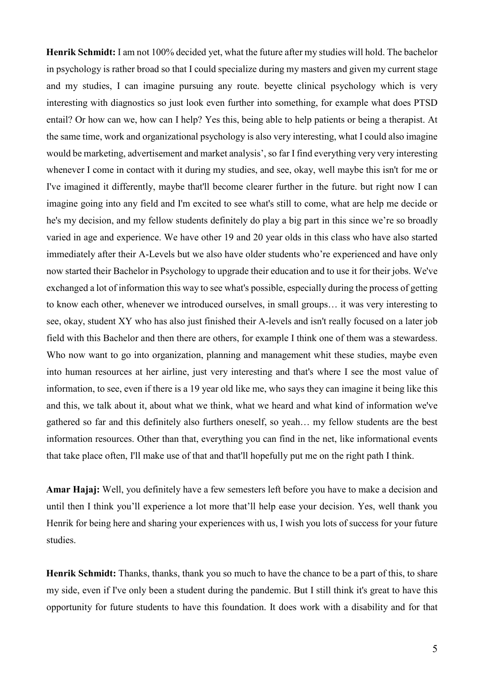**Henrik Schmidt:** I am not 100% decided yet, what the future after my studies will hold. The bachelor in psychology is rather broad so that I could specialize during my masters and given my current stage and my studies, I can imagine pursuing any route. beyette clinical psychology which is very interesting with diagnostics so just look even further into something, for example what does PTSD entail? Or how can we, how can I help? Yes this, being able to help patients or being a therapist. At the same time, work and organizational psychology is also very interesting, what I could also imagine would be marketing, advertisement and market analysis', so far I find everything very very interesting whenever I come in contact with it during my studies, and see, okay, well maybe this isn't for me or I've imagined it differently, maybe that'll become clearer further in the future. but right now I can imagine going into any field and I'm excited to see what's still to come, what are help me decide or he's my decision, and my fellow students definitely do play a big part in this since we're so broadly varied in age and experience. We have other 19 and 20 year olds in this class who have also started immediately after their A-Levels but we also have older students who're experienced and have only now started their Bachelor in Psychology to upgrade their education and to use it for their jobs. We've exchanged a lot of information this way to see what's possible, especially during the process of getting to know each other, whenever we introduced ourselves, in small groups… it was very interesting to see, okay, student XY who has also just finished their A-levels and isn't really focused on a later job field with this Bachelor and then there are others, for example I think one of them was a stewardess. Who now want to go into organization, planning and management whit these studies, maybe even into human resources at her airline, just very interesting and that's where I see the most value of information, to see, even if there is a 19 year old like me, who says they can imagine it being like this and this, we talk about it, about what we think, what we heard and what kind of information we've gathered so far and this definitely also furthers oneself, so yeah… my fellow students are the best information resources. Other than that, everything you can find in the net, like informational events that take place often, I'll make use of that and that'll hopefully put me on the right path I think.

**Amar Hajaj:** Well, you definitely have a few semesters left before you have to make a decision and until then I think you'll experience a lot more that'll help ease your decision. Yes, well thank you Henrik for being here and sharing your experiences with us, I wish you lots of success for your future studies.

**Henrik Schmidt:** Thanks, thanks, thank you so much to have the chance to be a part of this, to share my side, even if I've only been a student during the pandemic. But I still think it's great to have this opportunity for future students to have this foundation. It does work with a disability and for that